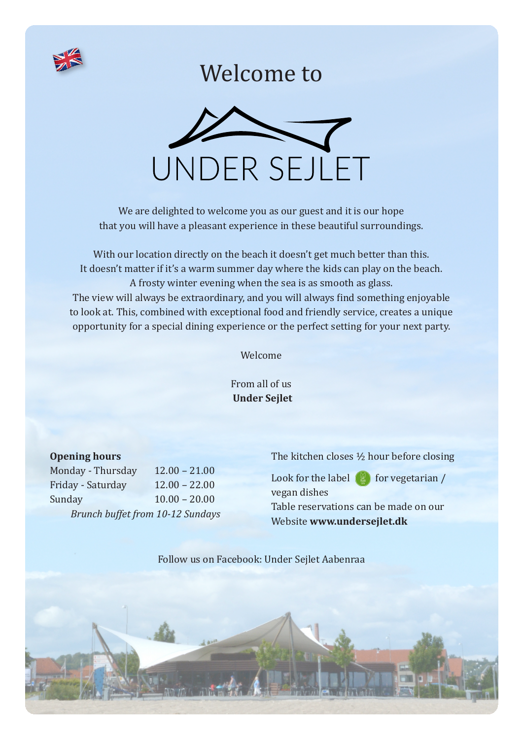

#### Welcome to



We are delighted to welcome you as our guest and it is our hope that you will have a pleasant experience in these beautiful surroundings.

With our location directly on the beach it doesn't get much better than this. It doesn't matter if it's a warm summer day where the kids can play on the beach. A frosty winter evening when the sea is as smooth as glass. The view will always be extraordinary, and you will always find something enjoyable to look at. This, combined with exceptional food and friendly service, creates a unique opportunity for a special dining experience or the perfect setting for your next party.

Welcome

From all of us  **Under Sejlet**

#### **Opening hours**

Monday - Thursday 12.00 – 21.00 Friday - Saturday 12.00 – 22.00 Sunday 10.00 – 20.00  *Brunch buffet from 10-12 Sundays* The kitchen closes ½ hour before closing

Look for the label  $\binom{10}{2}$  for vegetarian / vegan dishes Table reservations can be made on our Website **www.undersejlet.dk**

Follow us on Facebook: Under Sejlet Aabenraa

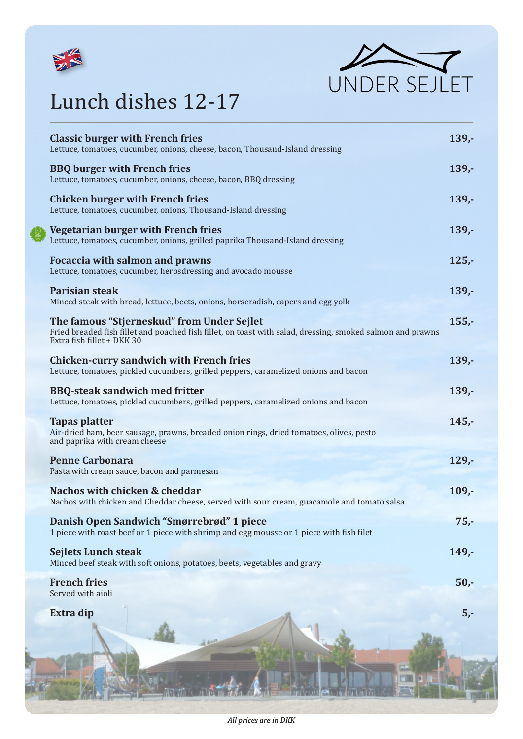



## Lunch dishes 12-17

| <b>Classic burger with French fries</b><br>Lettuce, tomatoes, cucumber, onions, cheese, bacon, Thousand-Island dressing                                                                | $139. -$ |
|----------------------------------------------------------------------------------------------------------------------------------------------------------------------------------------|----------|
| <b>BBQ</b> burger with French fries<br>Lettuce, tomatoes, cucumber, onions, cheese, bacon, BBQ dressing                                                                                | $139. -$ |
| <b>Chicken burger with French fries</b><br>Lettuce, tomatoes, cucumber, onions, Thousand-Island dressing                                                                               | $139. -$ |
| Vegetarian burger with French fries<br>Lettuce, tomatoes, cucumber, onions, grilled paprika Thousand-Island dressing                                                                   | $139. -$ |
| <b>Focaccia with salmon and prawns</b><br>Lettuce, tomatoes, cucumber, herbsdressing and avocado mousse                                                                                | $125 -$  |
| <b>Parisian steak</b><br>Minced steak with bread, lettuce, beets, onions, horseradish, capers and egg yolk                                                                             | $139. -$ |
| The famous "Stjerneskud" from Under Sejlet<br>Fried breaded fish fillet and poached fish fillet, on toast with salad, dressing, smoked salmon and prawns<br>Extra fish fillet + DKK 30 | $155 -$  |
| <b>Chicken-curry sandwich with French fries</b><br>Lettuce, tomatoes, pickled cucumbers, grilled peppers, caramelized onions and bacon                                                 | $139. -$ |
| <b>BBQ-steak sandwich med fritter</b><br>Lettuce, tomatoes, pickled cucumbers, grilled peppers, caramelized onions and bacon                                                           | $139. -$ |
| <b>Tapas platter</b><br>Air-dried ham, beer sausage, prawns, breaded onion rings, dried tomatoes, olives, pesto<br>and paprika with cream cheese                                       | $145 -$  |
| <b>Penne Carbonara</b><br>Pasta with cream sauce, bacon and parmesan                                                                                                                   | $129. -$ |
| Nachos with chicken & cheddar<br>Nachos with chicken and Cheddar cheese, served with sour cream, guacamole and tomato salsa                                                            | $109 -$  |
| Danish Open Sandwich "Smørrebrød" 1 piece<br>1 piece with roast beef or 1 piece with shrimp and egg mousse or 1 piece with fish filet                                                  | $75, -$  |
| <b>Sejlets Lunch steak</b><br>Minced beef steak with soft onions, potatoes, beets, vegetables and gravy                                                                                | $149. -$ |
| <b>French fries</b><br>Served with aioli                                                                                                                                               | $50 -$   |
| <b>Extra dip</b>                                                                                                                                                                       | $5,-$    |
|                                                                                                                                                                                        |          |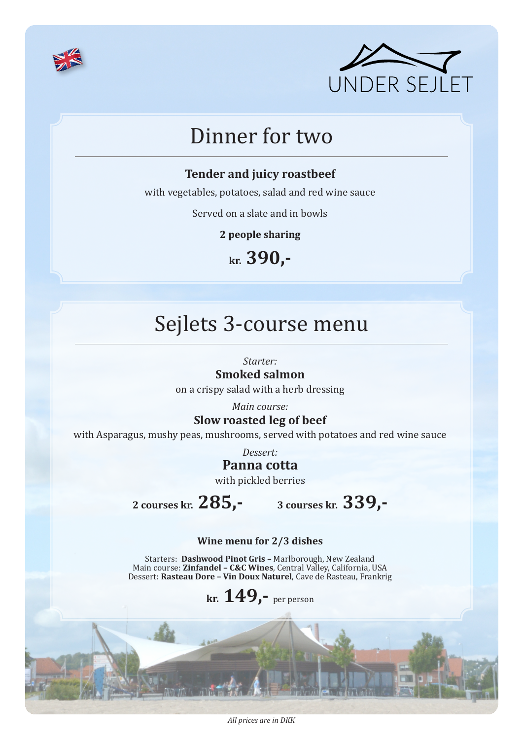



### Dinner for two

#### **Tender and juicy roastbeef**

with vegetables, potatoes, salad and red wine sauce

Served on a slate and in bowls

**2 people sharing**

**kr. 390,-**

### Sejlets 3-course menu

*Starter:*

#### **Smoked salmon**

on a crispy salad with a herb dressing

*Main course:*

#### **Slow roasted leg of beef**

with Asparagus, mushy peas, mushrooms, served with potatoes and red wine sauce

*Dessert:*

#### **Panna cotta**

with pickled berries

**2 courses kr. 285,- 3 courses kr. 339,-**

#### **Wine menu for 2/3 dishes**

Starters: **Dashwood Pinot Gris** – Marlborough, New Zealand Main course: **Zinfandel – C&C Wines**, Central Valley, California, USA Dessert: **Rasteau Dore – Vin Doux Naturel**, Cave de Rasteau, Frankrig

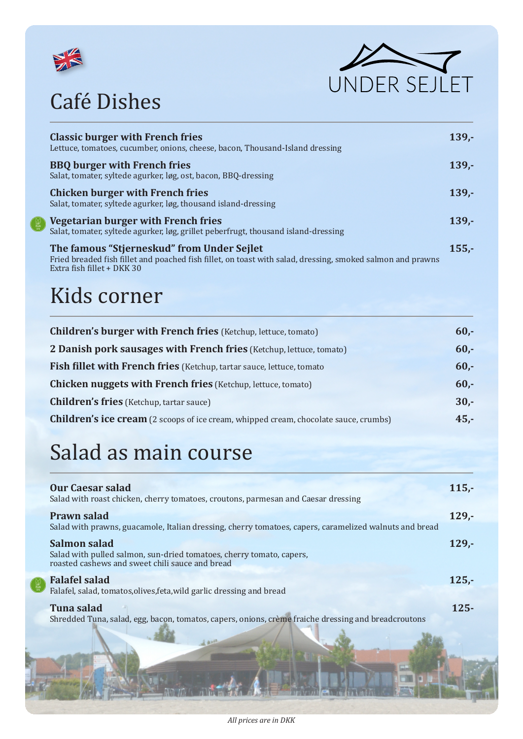





| <b>Classic burger with French fries</b><br>Lettuce, tomatoes, cucumber, onions, cheese, bacon, Thousand-Island dressing                                                                | $139 -$ |
|----------------------------------------------------------------------------------------------------------------------------------------------------------------------------------------|---------|
| <b>BBQ</b> burger with French fries<br>Salat, tomater, syltede agurker, løg, ost, bacon, BBQ-dressing                                                                                  | $139 -$ |
| <b>Chicken burger with French fries</b><br>Salat, tomater, syltede agurker, løg, thousand island-dressing                                                                              | $139 -$ |
| Vegetarian burger with French fries<br>Salat, tomater, syltede agurker, løg, grillet peberfrugt, thousand island-dressing                                                              | $139 -$ |
| The famous "Stjerneskud" from Under Sejlet<br>Fried breaded fish fillet and poached fish fillet, on toast with salad, dressing, smoked salmon and prawns<br>Extra fish fillet + DKK 30 | $155 -$ |

### Kids corner

| <b>Children's burger with French fries</b> (Ketchup, lettuce, tomato)                       | $60 -$ |
|---------------------------------------------------------------------------------------------|--------|
| 2 Danish pork sausages with French fries (Ketchup, lettuce, tomato)                         | $60 -$ |
| Fish fillet with French fries (Ketchup, tartar sauce, lettuce, tomato                       | $60 -$ |
| <b>Chicken nuggets with French fries</b> (Ketchup, lettuce, tomato)                         | $60 -$ |
| <b>Children's fries</b> (Ketchup, tartar sauce)                                             | $30 -$ |
| <b>Children's ice cream</b> (2 scoops of ice cream, whipped cream, chocolate sauce, crumbs) | $45 -$ |
|                                                                                             |        |

# Salad as main course

| <b>Our Caesar salad</b><br>Salad with roast chicken, cherry tomatoes, croutons, parmesan and Caesar dressing                            | $115. -$ |
|-----------------------------------------------------------------------------------------------------------------------------------------|----------|
| <b>Prawn salad</b><br>Salad with prawns, guacamole, Italian dressing, cherry tomatoes, capers, caramelized walnuts and bread            | $129 -$  |
| Salmon salad<br>Salad with pulled salmon, sun-dried tomatoes, cherry tomato, capers,<br>roasted cashews and sweet chili sauce and bread | $129. -$ |
| <b>Falafel salad</b><br>Falafel, salad, tomatos, olives, feta, wild garlic dressing and bread                                           | $125 -$  |
| <b>Tuna salad</b><br>Shredded Tuna, salad, egg, bacon, tomatos, capers, onions, crème fraiche dressing and breadcroutons                | $125 -$  |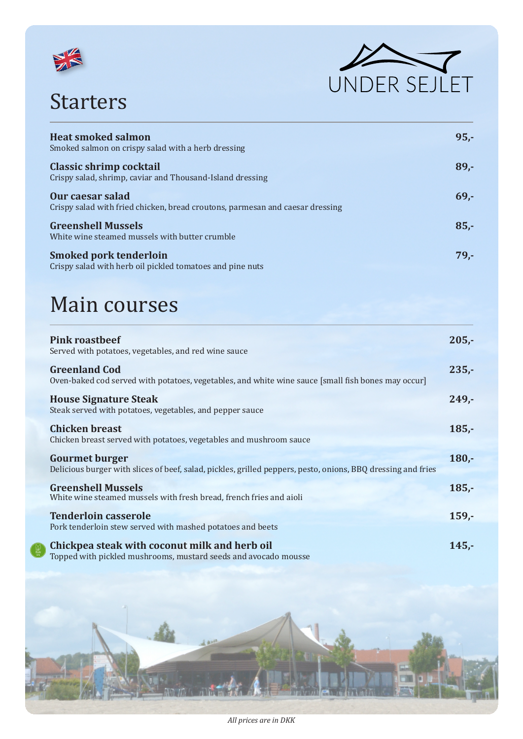

## Starters



| <b>Heat smoked salmon</b><br>Smoked salmon on crispy salad with a herb dressing                   | $95 -$ |
|---------------------------------------------------------------------------------------------------|--------|
| <b>Classic shrimp cocktail</b><br>Crispy salad, shrimp, caviar and Thousand-Island dressing       | $89 -$ |
| Our caesar salad<br>Crispy salad with fried chicken, bread croutons, parmesan and caesar dressing | $69 -$ |
| <b>Greenshell Mussels</b><br>White wine steamed mussels with butter crumble                       | $85 -$ |
| <b>Smoked pork tenderloin</b><br>Crispy salad with herb oil pickled tomatoes and pine nuts        | $79 -$ |

## Main courses

| <b>Pink roastbeef</b><br>Served with potatoes, vegetables, and red wine sauce                                                         | $205 -$  |
|---------------------------------------------------------------------------------------------------------------------------------------|----------|
| <b>Greenland Cod</b><br>Oven-baked cod served with potatoes, vegetables, and white wine sauce [small fish bones may occur]            | $235 -$  |
| <b>House Signature Steak</b><br>Steak served with potatoes, vegetables, and pepper sauce                                              | $249 -$  |
| <b>Chicken breast</b><br>Chicken breast served with potatoes, vegetables and mushroom sauce                                           | $185 -$  |
| <b>Gourmet burger</b><br>Delicious burger with slices of beef, salad, pickles, grilled peppers, pesto, onions, BBQ dressing and fries | $180 -$  |
| <b>Greenshell Mussels</b><br>White wine steamed mussels with fresh bread, french fries and aioli                                      | $185 -$  |
| <b>Tenderloin casserole</b><br>Pork tenderloin stew served with mashed potatoes and beets                                             | $159 -$  |
| Chickpea steak with coconut milk and herb oil<br>Topped with pickled mushrooms, mustard seeds and avocado mousse                      | $145. -$ |

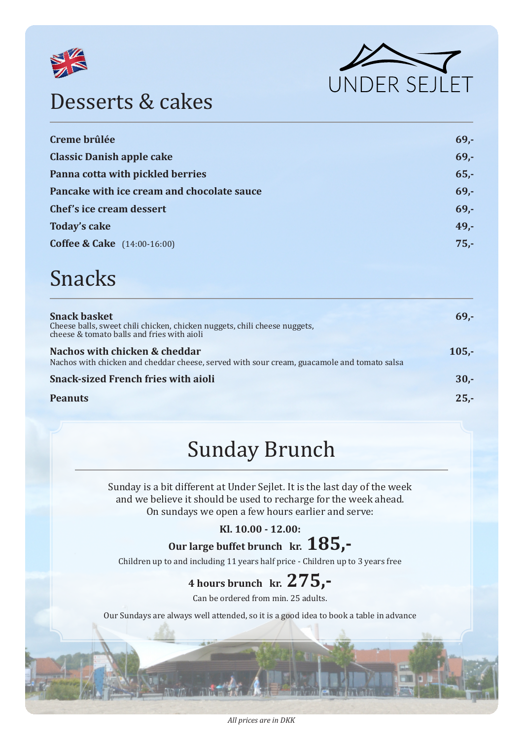



#### Desserts & cakes

| Creme brûlée                               | 69.  |
|--------------------------------------------|------|
| <b>Classic Danish apple cake</b>           | 69.  |
| Panna cotta with pickled berries           | 65.  |
| Pancake with ice cream and chocolate sauce | 69.  |
| Chef's ice cream dessert                   | 69.  |
| <b>Today's cake</b>                        | 49,- |
| <b>Coffee &amp; Cake</b> (14:00-16:00)     | 75.  |
|                                            |      |

#### Snacks

| <b>Snack basket</b><br>Cheese balls, sweet chili chicken, chicken nuggets, chili cheese nuggets,<br>cheese & tomato balls and fries with aioli | $69 -$  |
|------------------------------------------------------------------------------------------------------------------------------------------------|---------|
| Nachos with chicken & cheddar<br>Nachos with chicken and cheddar cheese, served with sour cream, guacamole and tomato salsa                    | $105 -$ |
| <b>Snack-sized French fries with aioli</b>                                                                                                     | $30 -$  |
| <b>Peanuts</b>                                                                                                                                 | $25 -$  |

#### Sunday Brunch

Sunday is a bit different at Under Sejlet. It is the last day of the week and we believe it should be used to recharge for the week ahead. On sundays we open a few hours earlier and serve:

#### **Kl. 10.00 - 12.00:**

**Our large buffet brunch kr. 185,-**

Children up to and including 11 years half price - Children up to 3 years free

#### **4 hours brunch kr. 275,-**

Can be ordered from min. 25 adults.

Our Sundays are always well attended, so it is a good idea to book a table in advance